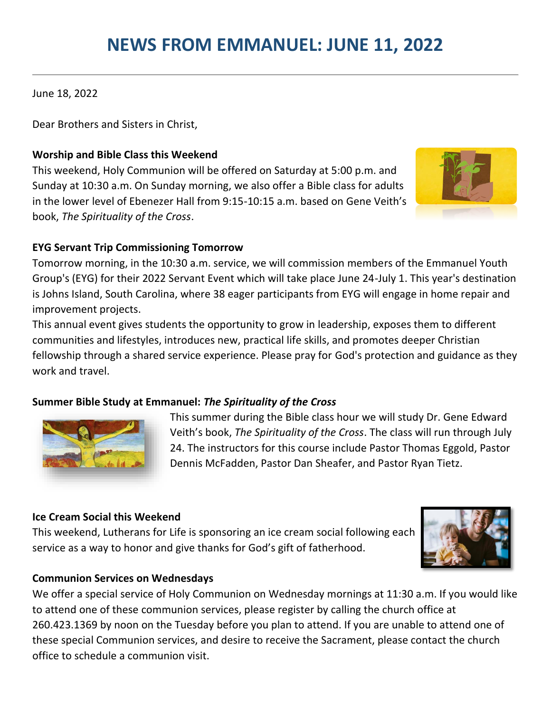# **NEWS FROM EMMANUEL: JUNE 11, 2022**

June 18, 2022

Dear Brothers and Sisters in Christ,

## **Worship and Bible Class this Weekend**

This weekend, Holy Communion will be offered on Saturday at 5:00 p.m. and Sunday at 10:30 a.m. On Sunday morning, we also offer a Bible class for adults in the lower level of Ebenezer Hall from 9:15-10:15 a.m. based on Gene Veith's book, *The Spirituality of the Cross*.



## **EYG Servant Trip Commissioning Tomorrow**

Tomorrow morning, in the 10:30 a.m. service, we will commission members of the Emmanuel Youth Group's (EYG) for their 2022 Servant Event which will take place June 24-July 1. This year's destination is Johns Island, South Carolina, where 38 eager participants from EYG will engage in home repair and improvement projects.

This annual event gives students the opportunity to grow in leadership, exposes them to different communities and lifestyles, introduces new, practical life skills, and promotes deeper Christian fellowship through a shared service experience. Please pray for God's protection and guidance as they work and travel.

## **Summer Bible Study at Emmanuel:** *The Spirituality of the Cross*



This summer during the Bible class hour we will study Dr. Gene Edward Veith's book, *The Spirituality of the Cross*. The class will run through July 24. The instructors for this course include Pastor Thomas Eggold, Pastor Dennis McFadden, Pastor Dan Sheafer, and Pastor Ryan Tietz.

### **Ice Cream Social this Weekend**

This weekend, Lutherans for Life is sponsoring an ice cream social following each service as a way to honor and give thanks for God's gift of fatherhood.



### **Communion Services on Wednesdays**

We offer a special service of Holy Communion on Wednesday mornings at 11:30 a.m. If you would like to attend one of these communion services, please register by calling the church office at 260.423.1369 by noon on the Tuesday before you plan to attend. If you are unable to attend one of these special Communion services, and desire to receive the Sacrament, please contact the church office to schedule a communion visit.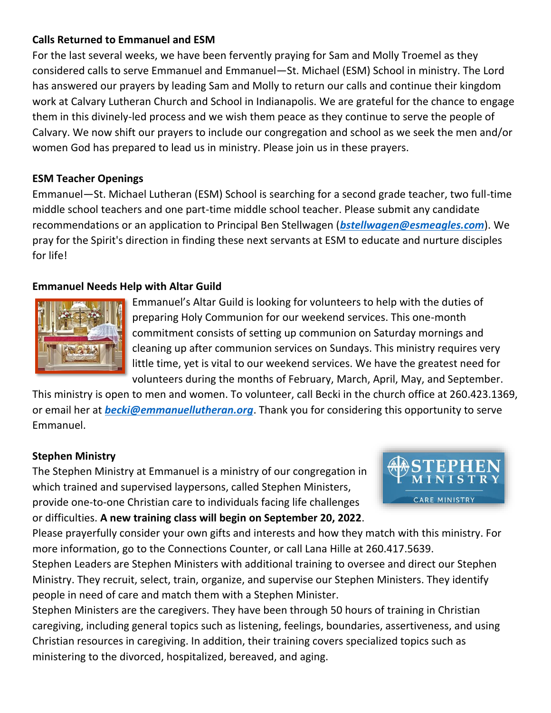## **Calls Returned to Emmanuel and ESM**

For the last several weeks, we have been fervently praying for Sam and Molly Troemel as they considered calls to serve Emmanuel and Emmanuel—St. Michael (ESM) School in ministry. The Lord has answered our prayers by leading Sam and Molly to return our calls and continue their kingdom work at Calvary Lutheran Church and School in Indianapolis. We are grateful for the chance to engage them in this divinely-led process and we wish them peace as they continue to serve the people of Calvary. We now shift our prayers to include our congregation and school as we seek the men and/or women God has prepared to lead us in ministry. Please join us in these prayers.

### **ESM Teacher Openings**

Emmanuel—St. Michael Lutheran (ESM) School is searching for a second grade teacher, two full-time middle school teachers and one part-time middle school teacher. Please submit any candidate recommendations or an application to Principal Ben Stellwagen (*[bstellwagen@esmeagles.com](mailto:bstellwagen@esmeagles.com)*). We pray for the Spirit's direction in finding these next servants at ESM to educate and nurture disciples for life!

## **Emmanuel Needs Help with Altar Guild**



Emmanuel's Altar Guild is looking for volunteers to help with the duties of preparing Holy Communion for our weekend services. This one-month commitment consists of setting up communion on Saturday mornings and cleaning up after communion services on Sundays. This ministry requires very little time, yet is vital to our weekend services. We have the greatest need for volunteers during the months of February, March, April, May, and September.

This ministry is open to men and women. To volunteer, call Becki in the church office at 260.423.1369, or email her at *[becki@emmanuellutheran.org](mailto:becki@emmanuellutheran.org)*. Thank you for considering this opportunity to serve Emmanuel.

### **Stephen Ministry**

The Stephen Ministry at Emmanuel is a ministry of our congregation in which trained and supervised laypersons, called Stephen Ministers, provide one-to-one Christian care to individuals facing life challenges or difficulties. **A new training class will begin on September 20, 2022**.



Please prayerfully consider your own gifts and interests and how they match with this ministry. For more information, go to the Connections Counter, or call Lana Hille at 260.417.5639.

Stephen Leaders are Stephen Ministers with additional training to oversee and direct our Stephen Ministry. They recruit, select, train, organize, and supervise our Stephen Ministers. They identify people in need of care and match them with a Stephen Minister.

Stephen Ministers are the caregivers. They have been through 50 hours of training in Christian caregiving, including general topics such as listening, feelings, boundaries, assertiveness, and using Christian resources in caregiving. In addition, their training covers specialized topics such as ministering to the divorced, hospitalized, bereaved, and aging.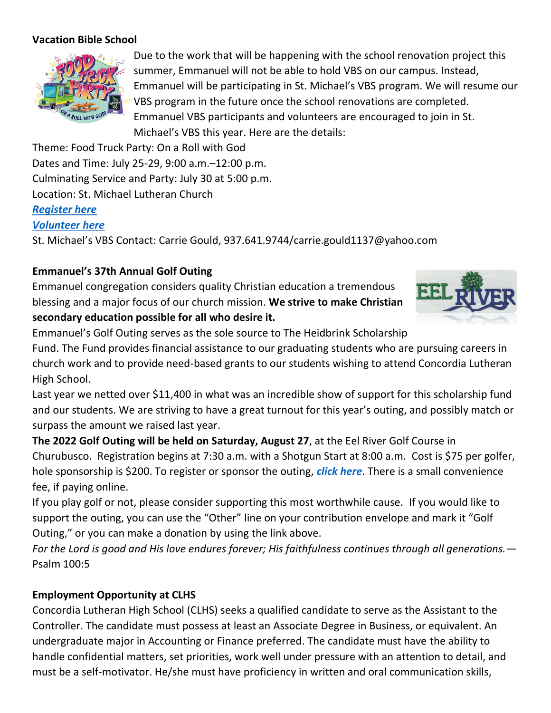### **Vacation Bible School**



Due to the work that will be happening with the school renovation project this summer, Emmanuel will not be able to hold VBS on our campus. Instead, Emmanuel will be participating in St. Michael's VBS program. We will resume our VBS program in the future once the school renovations are completed. Emmanuel VBS participants and volunteers are encouraged to join in St. Michael's VBS this year. Here are the details:

Theme: Food Truck Party: On a Roll with God Dates and Time: July 25-29, 9:00 a.m.–12:00 p.m. Culminating Service and Party: July 30 at 5:00 p.m. Location: St. Michael Lutheran Church

### *[Register here](https://stmfw.fellowshiponego.com/external/form/fc173d28-ca1a-4418-b385-7206808df49c)*

### *[Volunteer here](https://stmfw.fellowshiponego.com/external/form/39f1bac5-302a-4b67-8315-4e595ce6576f)*

St. Michael's VBS Contact: Carrie Gould, 937.641.9744/carrie.gould1137@yahoo.com

## **Emmanuel's 37th Annual Golf Outing**

Emmanuel congregation considers quality Christian education a tremendous blessing and a major focus of our church mission. **We strive to make Christian secondary education possible for all who desire it.** 



Emmanuel's Golf Outing serves as the sole source to The Heidbrink Scholarship

Fund. The Fund provides financial assistance to our graduating students who are pursuing careers in church work and to provide need-based grants to our students wishing to attend Concordia Lutheran High School.

Last year we netted over \$11,400 in what was an incredible show of support for this scholarship fund and our students. We are striving to have a great turnout for this year's outing, and possibly match or surpass the amount we raised last year.

**The 2022 Golf Outing will be held on Saturday, August 27**, at the Eel River Golf Course in Churubusco. Registration begins at 7:30 a.m. with a Shotgun Start at 8:00 a.m. Cost is \$75 per golfer, hole sponsorship is \$200. To register or sponsor the outing, *[click here](https://emmanuellutheran.breezechms.com/form/0110577250)*. There is a small convenience fee, if paying online.

If you play golf or not, please consider supporting this most worthwhile cause. If you would like to support the outing, you can use the "Other" line on your contribution envelope and mark it "Golf Outing," or you can make a donation by using the link above.

*For the Lord is good and His love endures forever; His faithfulness continues through all generations.*— Psalm 100:5

## **Employment Opportunity at CLHS**

Concordia Lutheran High School (CLHS) seeks a qualified candidate to serve as the Assistant to the Controller. The candidate must possess at least an Associate Degree in Business, or equivalent. An undergraduate major in Accounting or Finance preferred. The candidate must have the ability to handle confidential matters, set priorities, work well under pressure with an attention to detail, and must be a self-motivator. He/she must have proficiency in written and oral communication skills,